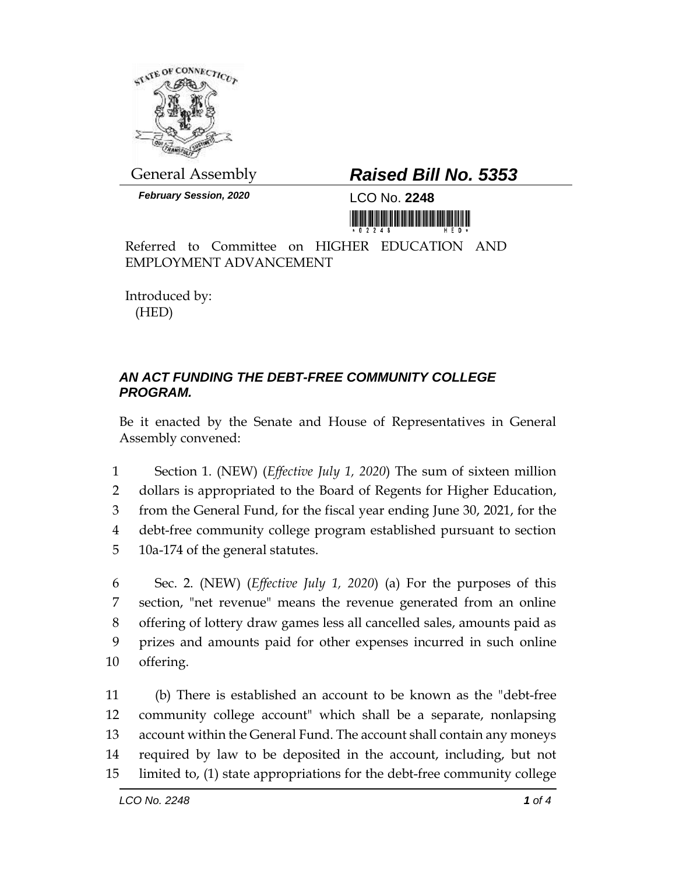

*February Session, 2020* LCO No. **2248**

## General Assembly *Raised Bill No. 5353*

<u> III Million Maria Maria Maria Maria Maria Maria Maria Maria Maria Maria Maria Maria Maria Maria Maria Maria M</u>

Referred to Committee on HIGHER EDUCATION AND EMPLOYMENT ADVANCEMENT

Introduced by: (HED)

## *AN ACT FUNDING THE DEBT-FREE COMMUNITY COLLEGE PROGRAM.*

Be it enacted by the Senate and House of Representatives in General Assembly convened:

 Section 1. (NEW) (*Effective July 1, 2020*) The sum of sixteen million dollars is appropriated to the Board of Regents for Higher Education, from the General Fund, for the fiscal year ending June 30, 2021, for the debt-free community college program established pursuant to section 10a-174 of the general statutes.

 Sec. 2. (NEW) (*Effective July 1, 2020*) (a) For the purposes of this section, "net revenue" means the revenue generated from an online offering of lottery draw games less all cancelled sales, amounts paid as prizes and amounts paid for other expenses incurred in such online offering.

 (b) There is established an account to be known as the "debt-free community college account" which shall be a separate, nonlapsing account within the General Fund. The account shall contain any moneys required by law to be deposited in the account, including, but not limited to, (1) state appropriations for the debt-free community college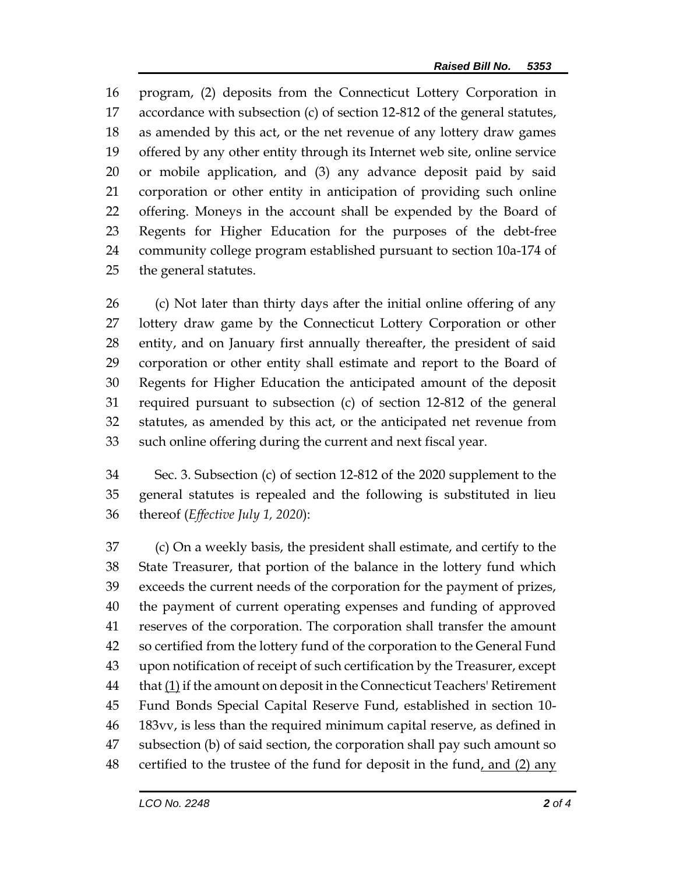program, (2) deposits from the Connecticut Lottery Corporation in accordance with subsection (c) of section 12-812 of the general statutes, as amended by this act, or the net revenue of any lottery draw games offered by any other entity through its Internet web site, online service or mobile application, and (3) any advance deposit paid by said corporation or other entity in anticipation of providing such online offering. Moneys in the account shall be expended by the Board of Regents for Higher Education for the purposes of the debt-free community college program established pursuant to section 10a-174 of the general statutes.

 (c) Not later than thirty days after the initial online offering of any lottery draw game by the Connecticut Lottery Corporation or other entity, and on January first annually thereafter, the president of said corporation or other entity shall estimate and report to the Board of Regents for Higher Education the anticipated amount of the deposit required pursuant to subsection (c) of section 12-812 of the general statutes, as amended by this act, or the anticipated net revenue from such online offering during the current and next fiscal year.

 Sec. 3. Subsection (c) of section 12-812 of the 2020 supplement to the general statutes is repealed and the following is substituted in lieu thereof (*Effective July 1, 2020*):

 (c) On a weekly basis, the president shall estimate, and certify to the State Treasurer, that portion of the balance in the lottery fund which exceeds the current needs of the corporation for the payment of prizes, the payment of current operating expenses and funding of approved reserves of the corporation. The corporation shall transfer the amount so certified from the lottery fund of the corporation to the General Fund upon notification of receipt of such certification by the Treasurer, except  $t$  that  $(1)$  if the amount on deposit in the Connecticut Teachers' Retirement Fund Bonds Special Capital Reserve Fund, established in section 10- 183vv, is less than the required minimum capital reserve, as defined in subsection (b) of said section, the corporation shall pay such amount so certified to the trustee of the fund for deposit in the fund, and (2) any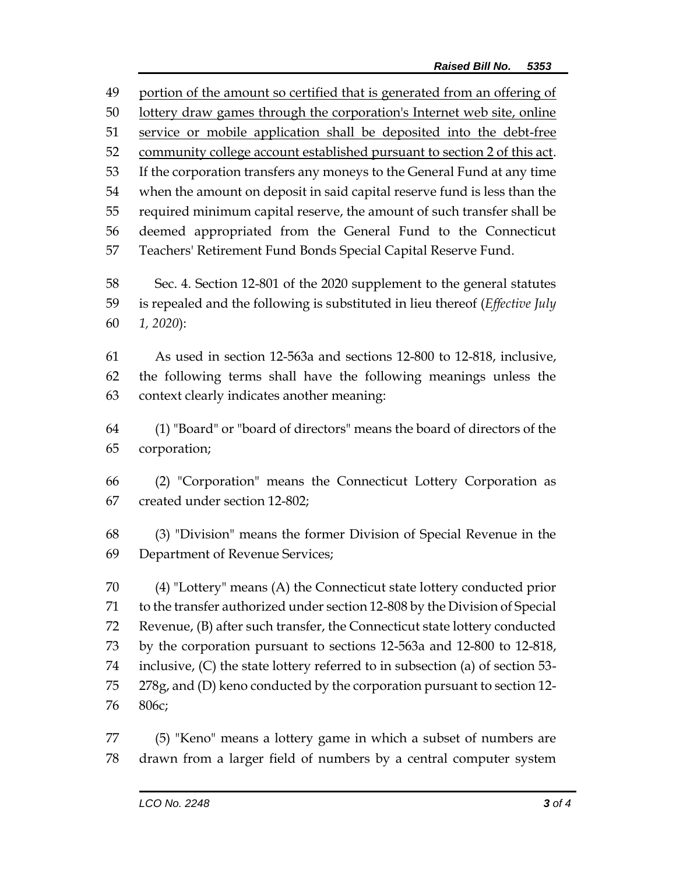portion of the amount so certified that is generated from an offering of lottery draw games through the corporation's Internet web site, online 51 service or mobile application shall be deposited into the debt-free community college account established pursuant to section 2 of this act. If the corporation transfers any moneys to the General Fund at any time when the amount on deposit in said capital reserve fund is less than the required minimum capital reserve, the amount of such transfer shall be deemed appropriated from the General Fund to the Connecticut Teachers' Retirement Fund Bonds Special Capital Reserve Fund. Sec. 4. Section 12-801 of the 2020 supplement to the general statutes is repealed and the following is substituted in lieu thereof (*Effective July 1, 2020*): As used in section 12-563a and sections 12-800 to 12-818, inclusive, the following terms shall have the following meanings unless the context clearly indicates another meaning: (1) "Board" or "board of directors" means the board of directors of the corporation; (2) "Corporation" means the Connecticut Lottery Corporation as created under section 12-802; (3) "Division" means the former Division of Special Revenue in the Department of Revenue Services; (4) "Lottery" means (A) the Connecticut state lottery conducted prior to the transfer authorized under section 12-808 by the Division of Special Revenue, (B) after such transfer, the Connecticut state lottery conducted by the corporation pursuant to sections 12-563a and 12-800 to 12-818, inclusive, (C) the state lottery referred to in subsection (a) of section 53- 278g, and (D) keno conducted by the corporation pursuant to section 12- 806c; (5) "Keno" means a lottery game in which a subset of numbers are drawn from a larger field of numbers by a central computer system